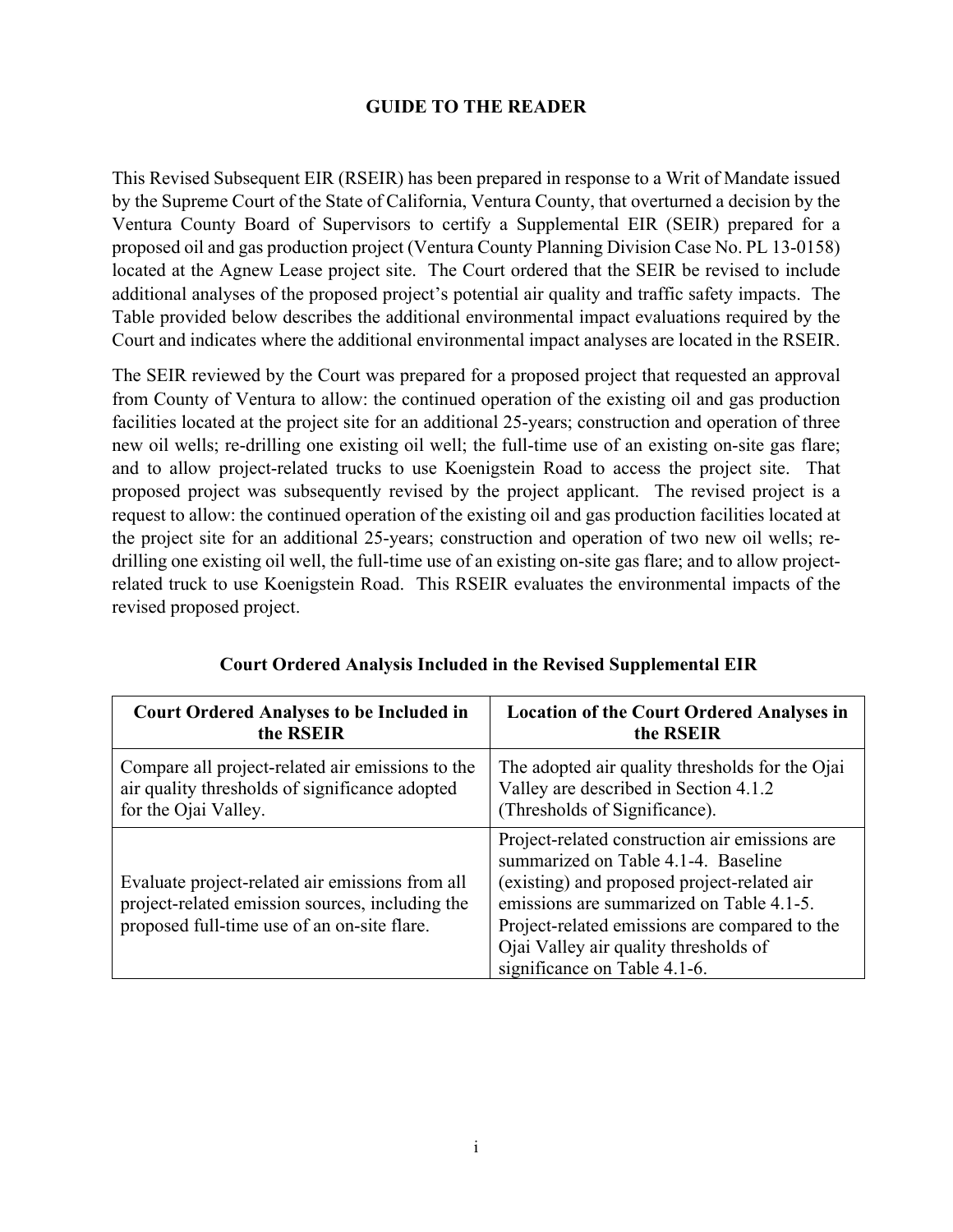## **GUIDE TO THE READER**

This Revised Subsequent EIR (RSEIR) has been prepared in response to a Writ of Mandate issued by the Supreme Court of the State of California, Ventura County, that overturned a decision by the Ventura County Board of Supervisors to certify a Supplemental EIR (SEIR) prepared for a proposed oil and gas production project (Ventura County Planning Division Case No. PL 13-0158) located at the Agnew Lease project site. The Court ordered that the SEIR be revised to include additional analyses of the proposed project's potential air quality and traffic safety impacts. The Table provided below describes the additional environmental impact evaluations required by the Court and indicates where the additional environmental impact analyses are located in the RSEIR.

The SEIR reviewed by the Court was prepared for a proposed project that requested an approval from County of Ventura to allow: the continued operation of the existing oil and gas production facilities located at the project site for an additional 25-years; construction and operation of three new oil wells; re-drilling one existing oil well; the full-time use of an existing on-site gas flare; and to allow project-related trucks to use Koenigstein Road to access the project site. That proposed project was subsequently revised by the project applicant. The revised project is a request to allow: the continued operation of the existing oil and gas production facilities located at the project site for an additional 25-years; construction and operation of two new oil wells; redrilling one existing oil well, the full-time use of an existing on-site gas flare; and to allow projectrelated truck to use Koenigstein Road. This RSEIR evaluates the environmental impacts of the revised proposed project.

| <b>Court Ordered Analyses to be Included in</b>                                                                                                   | <b>Location of the Court Ordered Analyses in</b>                                                                                                                                                                                                                                                           |  |
|---------------------------------------------------------------------------------------------------------------------------------------------------|------------------------------------------------------------------------------------------------------------------------------------------------------------------------------------------------------------------------------------------------------------------------------------------------------------|--|
| the RSEIR                                                                                                                                         | the RSEIR                                                                                                                                                                                                                                                                                                  |  |
| Compare all project-related air emissions to the                                                                                                  | The adopted air quality thresholds for the Ojai                                                                                                                                                                                                                                                            |  |
| air quality thresholds of significance adopted                                                                                                    | Valley are described in Section 4.1.2                                                                                                                                                                                                                                                                      |  |
| for the Ojai Valley.                                                                                                                              | (Thresholds of Significance).                                                                                                                                                                                                                                                                              |  |
| Evaluate project-related air emissions from all<br>project-related emission sources, including the<br>proposed full-time use of an on-site flare. | Project-related construction air emissions are<br>summarized on Table 4.1-4. Baseline<br>(existing) and proposed project-related air<br>emissions are summarized on Table 4.1-5.<br>Project-related emissions are compared to the<br>Ojai Valley air quality thresholds of<br>significance on Table 4.1-6. |  |

| <b>Court Ordered Analysis Included in the Revised Supplemental EIR</b> |  |  |  |
|------------------------------------------------------------------------|--|--|--|
|                                                                        |  |  |  |